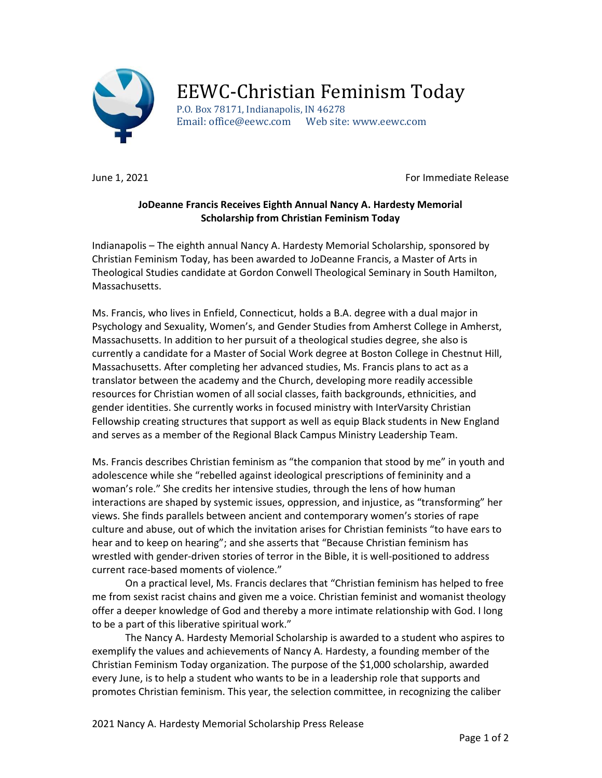

## EEWC-Christian Feminism Today

P.O. Box 78171, Indianapolis, IN 46278 Email: office@eewc.com Web site: www.eewc.com

June 1, 2021 **For Immediate Release** 

## JoDeanne Francis Receives Eighth Annual Nancy A. Hardesty Memorial Scholarship from Christian Feminism Today

Indianapolis – The eighth annual Nancy A. Hardesty Memorial Scholarship, sponsored by Christian Feminism Today, has been awarded to JoDeanne Francis, a Master of Arts in Theological Studies candidate at Gordon Conwell Theological Seminary in South Hamilton, Massachusetts.

Ms. Francis, who lives in Enfield, Connecticut, holds a B.A. degree with a dual major in Psychology and Sexuality, Women's, and Gender Studies from Amherst College in Amherst, Massachusetts. In addition to her pursuit of a theological studies degree, she also is currently a candidate for a Master of Social Work degree at Boston College in Chestnut Hill, Massachusetts. After completing her advanced studies, Ms. Francis plans to act as a translator between the academy and the Church, developing more readily accessible resources for Christian women of all social classes, faith backgrounds, ethnicities, and gender identities. She currently works in focused ministry with InterVarsity Christian Fellowship creating structures that support as well as equip Black students in New England and serves as a member of the Regional Black Campus Ministry Leadership Team.

Ms. Francis describes Christian feminism as "the companion that stood by me" in youth and adolescence while she "rebelled against ideological prescriptions of femininity and a woman's role." She credits her intensive studies, through the lens of how human interactions are shaped by systemic issues, oppression, and injustice, as "transforming" her views. She finds parallels between ancient and contemporary women's stories of rape culture and abuse, out of which the invitation arises for Christian feminists "to have ears to hear and to keep on hearing"; and she asserts that "Because Christian feminism has wrestled with gender-driven stories of terror in the Bible, it is well-positioned to address current race-based moments of violence."

 On a practical level, Ms. Francis declares that "Christian feminism has helped to free me from sexist racist chains and given me a voice. Christian feminist and womanist theology offer a deeper knowledge of God and thereby a more intimate relationship with God. I long to be a part of this liberative spiritual work."

 The Nancy A. Hardesty Memorial Scholarship is awarded to a student who aspires to exemplify the values and achievements of Nancy A. Hardesty, a founding member of the Christian Feminism Today organization. The purpose of the \$1,000 scholarship, awarded every June, is to help a student who wants to be in a leadership role that supports and promotes Christian feminism. This year, the selection committee, in recognizing the caliber